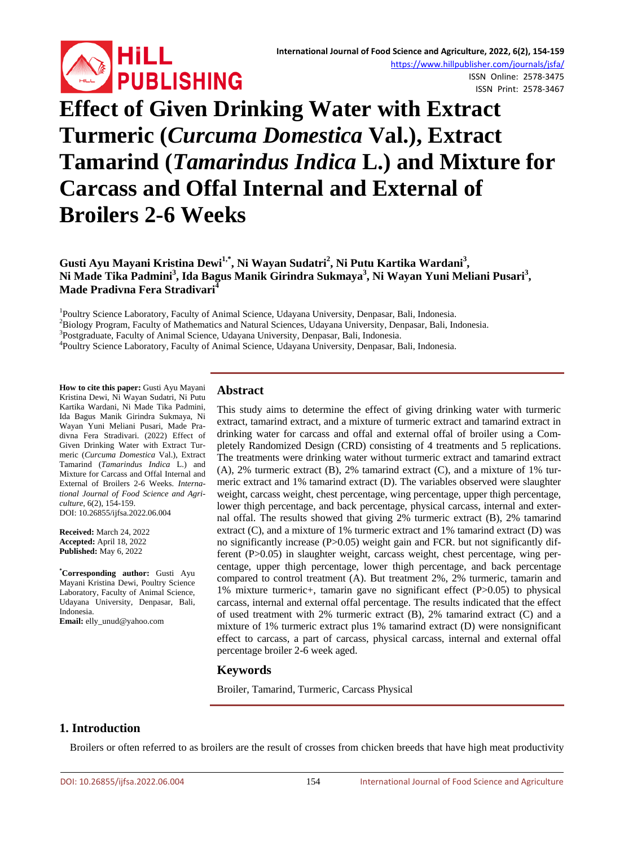

ISSN Online: 2578-3475 ISSN Print: 2578-3467

# **Effect of Given Drinking Water with Extract Turmeric (***Curcuma Domestica* **Val.), Extract Tamarind (***Tamarindus Indica* **L.) and Mixture for Carcass and Offal Internal and External of Broilers 2-6 Weeks**

# Gusti Ayu Mayani Kristina Dewi<sup>1,\*</sup>, Ni Wayan Sudatri<sup>2</sup>, Ni Putu Kartika Wardani<sup>3</sup>, Ni Made Tika Padmini<sup>3</sup>, Ida Bagus Manik Girindra Sukmaya<sup>3</sup>, Ni Wayan Yuni Meliani Pusari<sup>3</sup>, **Made Pradivna Fera Stradivari4**

<sup>1</sup> Poultry Science Laboratory, Faculty of Animal Science, Udayana University, Denpasar, Bali, Indonesia.<br><sup>2</sup> Biology Program, Faculty of Mathematics and Natural Sciences, Udayana University, Denpasar, Bali, In

<sup>2</sup>Biology Program, Faculty of Mathematics and Natural Sciences, Udayana University, Denpasar, Bali, Indonesia.

<sup>3</sup>Postgraduate, Faculty of Animal Science, Udayana University, Denpasar, Bali, Indonesia.

Poultry Science Laboratory, Faculty of Animal Science, Udayana University, Denpasar, Bali, Indonesia.

**How to cite this paper:** Gusti Ayu Mayani Kristina Dewi, Ni Wayan Sudatri, Ni Putu Kartika Wardani, Ni Made Tika Padmini, Ida Bagus Manik Girindra Sukmaya, Ni Wayan Yuni Meliani Pusari, Made Pradivna Fera Stradivari. (2022) Effect of Given Drinking Water with Extract Turmeric (*Curcuma Domestica* Val.), Extract Tamarind (*Tamarindus Indica* L.) and Mixture for Carcass and Offal Internal and External of Broilers 2-6 Weeks. *International Journal of Food Science and Agriculture*, 6(2), 154-159. DOI: 10.26855/ijfsa.2022.06.004

**Received:** March 24, 2022 **Accepted:** April 18, 2022 **Published:** May 6, 2022

**\* Corresponding author:** Gusti Ayu Mayani Kristina Dewi, Poultry Science Laboratory, Faculty of Animal Science, Udayana University, Denpasar, Bali, Indonesia.

**Email:** elly\_unud@yahoo.com

# **Abstract**

This study aims to determine the effect of giving drinking water with turmeric extract, tamarind extract, and a mixture of turmeric extract and tamarind extract in drinking water for carcass and offal and external offal of broiler using a Completely Randomized Design (CRD) consisting of 4 treatments and 5 replications. The treatments were drinking water without turmeric extract and tamarind extract (A), 2% turmeric extract (B), 2% tamarind extract (C), and a mixture of 1% turmeric extract and 1% tamarind extract (D). The variables observed were slaughter weight, carcass weight, chest percentage, wing percentage, upper thigh percentage, lower thigh percentage, and back percentage, physical carcass, internal and external offal. The results showed that giving 2% turmeric extract (B), 2% tamarind extract  $(C)$ , and a mixture of 1% turmeric extract and 1% tamarind extract  $(D)$  was no significantly increase (P>0.05) weight gain and FCR. but not significantly different (P>0.05) in slaughter weight, carcass weight, chest percentage, wing percentage, upper thigh percentage, lower thigh percentage, and back percentage compared to control treatment (A). But treatment 2%, 2% turmeric, tamarin and 1% mixture turmeric+, tamarin gave no significant effect (P>0.05) to physical carcass, internal and external offal percentage. The results indicated that the effect of used treatment with 2% turmeric extract (B), 2% tamarind extract (C) and a mixture of 1% turmeric extract plus 1% tamarind extract (D) were nonsignificant effect to carcass, a part of carcass, physical carcass, internal and external offal percentage broiler 2-6 week aged.

# **Keywords**

Broiler, Tamarind, Turmeric, Carcass Physical

# **1. Introduction**

Broilers or often referred to as broilers are the result of crosses from chicken breeds that have high meat productivity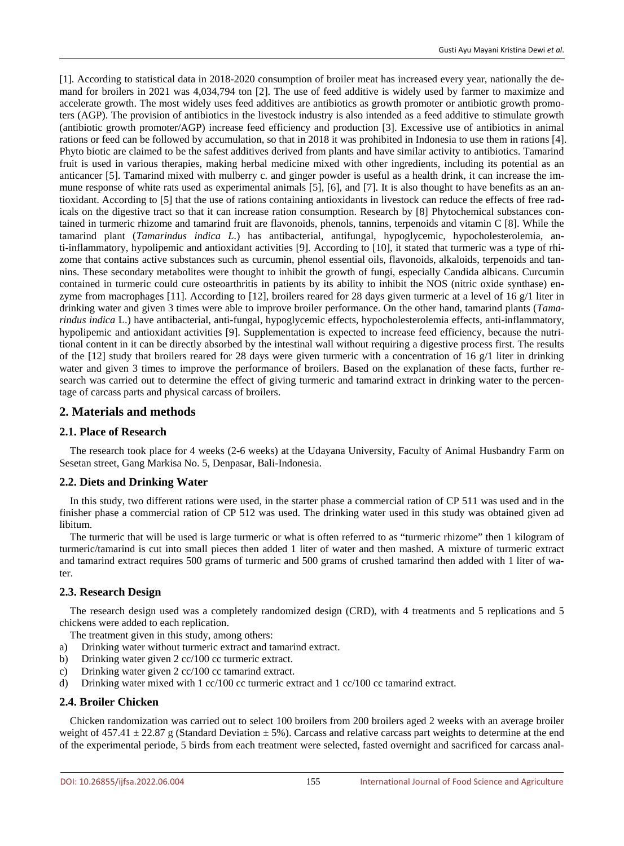[1]. According to statistical data in 2018-2020 consumption of broiler meat has increased every year, nationally the demand for broilers in 2021 was 4,034,794 ton [2]. The use of feed additive is widely used by farmer to maximize and accelerate growth. The most widely uses feed additives are antibiotics as growth promoter or antibiotic growth promoters (AGP). The provision of antibiotics in the livestock industry is also intended as a feed additive to stimulate growth (antibiotic growth promoter/AGP) increase feed efficiency and production [3]. Excessive use of antibiotics in animal rations or feed can be followed by accumulation, so that in 2018 it was prohibited in Indonesia to use them in rations [4]. Phyto biotic are claimed to be the safest additives derived from plants and have similar activity to antibiotics. Tamarind fruit is used in various therapies, making herbal medicine mixed with other ingredients, including its potential as an anticancer [5]. Tamarind mixed with mulberry c. and ginger powder is useful as a health drink, it can increase the immune response of white rats used as experimental animals [5], [6], and [7]. It is also thought to have benefits as an antioxidant. According to [5] that the use of rations containing antioxidants in livestock can reduce the effects of free radicals on the digestive tract so that it can increase ration consumption. Research by [8] Phytochemical substances contained in turmeric rhizome and tamarind fruit are flavonoids, phenols, tannins, terpenoids and vitamin C [8]. While the tamarind plant (*Tamarindus indica L.*) has antibacterial, antifungal, hypoglycemic, hypocholesterolemia, anti-inflammatory, hypolipemic and antioxidant activities [9]. According to [10], it stated that turmeric was a type of rhizome that contains active substances such as curcumin, phenol essential oils, flavonoids, alkaloids, terpenoids and tannins. These secondary metabolites were thought to inhibit the growth of fungi, especially Candida albicans. Curcumin contained in turmeric could cure osteoarthritis in patients by its ability to inhibit the NOS (nitric oxide synthase) enzyme from macrophages [11]. According to [12], broilers reared for 28 days given turmeric at a level of 16  $g/1$  liter in drinking water and given 3 times were able to improve broiler performance. On the other hand, tamarind plants (*Tamarindus indica* L.) have antibacterial, anti-fungal, hypoglycemic effects, hypocholesterolemia effects, anti-inflammatory, hypolipemic and antioxidant activities [9]. Supplementation is expected to increase feed efficiency, because the nutritional content in it can be directly absorbed by the intestinal wall without requiring a digestive process first. The results of the  $[12]$  study that broilers reared for 28 days were given turmeric with a concentration of 16 g/1 liter in drinking water and given 3 times to improve the performance of broilers. Based on the explanation of these facts, further research was carried out to determine the effect of giving turmeric and tamarind extract in drinking water to the percentage of carcass parts and physical carcass of broilers.

#### **2. Materials and methods**

#### **2.1. Place of Research**

The research took place for 4 weeks (2-6 weeks) at the Udayana University, Faculty of Animal Husbandry Farm on Sesetan street, Gang Markisa No. 5, Denpasar, Bali-Indonesia.

#### **2.2. Diets and Drinking Water**

In this study, two different rations were used, in the starter phase a commercial ration of CP 511 was used and in the finisher phase a commercial ration of CP 512 was used. The drinking water used in this study was obtained given ad libitum.

The turmeric that will be used is large turmeric or what is often referred to as "turmeric rhizome" then 1 kilogram of turmeric/tamarind is cut into small pieces then added 1 liter of water and then mashed. A mixture of turmeric extract and tamarind extract requires 500 grams of turmeric and 500 grams of crushed tamarind then added with 1 liter of water.

#### **2.3. Research Design**

The research design used was a completely randomized design (CRD), with 4 treatments and 5 replications and 5 chickens were added to each replication.

The treatment given in this study, among others:

- a) Drinking water without turmeric extract and tamarind extract.
- b) Drinking water given 2 cc/100 cc turmeric extract.
- c) Drinking water given 2 cc/100 cc tamarind extract.
- d) Drinking water mixed with 1 cc/100 cc turmeric extract and 1 cc/100 cc tamarind extract.

#### **2.4. Broiler Chicken**

Chicken randomization was carried out to select 100 broilers from 200 broilers aged 2 weeks with an average broiler weight of  $457.41 \pm 22.87$  g (Standard Deviation  $\pm 5\%$ ). Carcass and relative carcass part weights to determine at the end of the experimental periode, 5 birds from each treatment were selected, fasted overnight and sacrificed for carcass anal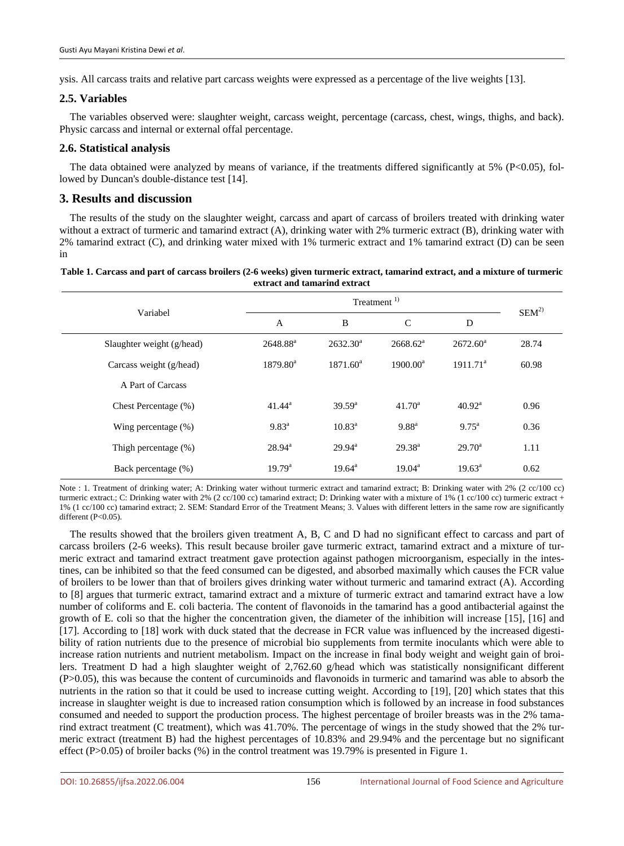ysis. All carcass traits and relative part carcass weights were expressed as a percentage of the live weights [13].

#### **2.5. Variables**

The variables observed were: slaughter weight, carcass weight, percentage (carcass, chest, wings, thighs, and back). Physic carcass and internal or external offal percentage.

#### **2.6. Statistical analysis**

The data obtained were analyzed by means of variance, if the treatments differed significantly at 5% (P<0.05), followed by Duncan's double-distance test [14].

### **3. Results and discussion**

The results of the study on the slaughter weight, carcass and apart of carcass of broilers treated with drinking water without a extract of turmeric and tamarind extract (A), drinking water with 2% turmeric extract (B), drinking water with 2% tamarind extract (C), and drinking water mixed with 1% turmeric extract and 1% tamarind extract (D) can be seen in

| Table 1. Carcass and part of carcass broilers (2-6 weeks) given turmeric extract, tamarind extract, and a mixture of turmeric |
|-------------------------------------------------------------------------------------------------------------------------------|
| extract and tamarind extract                                                                                                  |

| Variabel                  |                    | $SEM^{2)}$      |                      |                      |       |
|---------------------------|--------------------|-----------------|----------------------|----------------------|-------|
|                           | A                  | B               | $\mathcal{C}$        | D                    |       |
| Slaughter weight (g/head) | $2648.88^a$        | $2632.30^a$     | 2668.62 <sup>a</sup> | $2672.60^{\circ}$    | 28.74 |
| Carcass weight (g/head)   | $1879.80^a$        | $1871.60^a$     | $1900.00^a$          | 1911.71 <sup>a</sup> | 60.98 |
| A Part of Carcass         |                    |                 |                      |                      |       |
| Chest Percentage (%)      | $41.44^a$          | $39.59^{\rm a}$ | $41.70^a$            | $40.92^{\text{a}}$   | 0.96  |
| Wing percentage (%)       | $9.83^{a}$         | $10.83^a$       | 9.88 <sup>a</sup>    | $9.75^{\text{a}}$    | 0.36  |
| Thigh percentage (%)      | $28.94^{\text{a}}$ | $29.94^{\rm a}$ | $29.38^{a}$          | $29.70^{\rm a}$      | 1.11  |
| Back percentage (%)       | $19.79^{\text{a}}$ | $19.64^{\circ}$ | $19.04^{\text{a}}$   | $19.63^{\text{a}}$   | 0.62  |

Note : 1. Treatment of drinking water; A: Drinking water without turmeric extract and tamarind extract; B: Drinking water with 2% (2 cc/100 cc) turmeric extract.; C: Drinking water with 2% (2 cc/100 cc) tamarind extract; D: Drinking water with a mixture of 1% (1 cc/100 cc) turmeric extract + 1% (1 cc/100 cc) tamarind extract; 2. SEM: Standard Error of the Treatment Means; 3. Values with different letters in the same row are significantly different (P<0.05).

The results showed that the broilers given treatment A, B, C and D had no significant effect to carcass and part of carcass broilers (2-6 weeks). This result because broiler gave turmeric extract, tamarind extract and a mixture of turmeric extract and tamarind extract treatment gave protection against pathogen microorganism, especially in the intestines, can be inhibited so that the feed consumed can be digested, and absorbed maximally which causes the FCR value of broilers to be lower than that of broilers gives drinking water without turmeric and tamarind extract (A). According to [8] argues that turmeric extract, tamarind extract and a mixture of turmeric extract and tamarind extract have a low number of coliforms and E. coli bacteria. The content of flavonoids in the tamarind has a good antibacterial against the growth of E. coli so that the higher the concentration given, the diameter of the inhibition will increase [15], [16] and [17]. According to [18] work with duck stated that the decrease in FCR value was influenced by the increased digestibility of ration nutrients due to the presence of microbial bio supplements from termite inoculants which were able to increase ration nutrients and nutrient metabolism. Impact on the increase in final body weight and weight gain of broilers. Treatment D had a high slaughter weight of 2,762.60 g/head which was statistically nonsignificant different (P>0.05), this was because the content of curcuminoids and flavonoids in turmeric and tamarind was able to absorb the nutrients in the ration so that it could be used to increase cutting weight. According to [19], [20] which states that this increase in slaughter weight is due to increased ration consumption which is followed by an increase in food substances consumed and needed to support the production process. The highest percentage of broiler breasts was in the 2% tamarind extract treatment (C treatment), which was 41.70%. The percentage of wings in the study showed that the 2% turmeric extract (treatment B) had the highest percentages of 10.83% and 29.94% and the percentage but no significant effect (P>0.05) of broiler backs (%) in the control treatment was 19.79% is presented in Figure 1.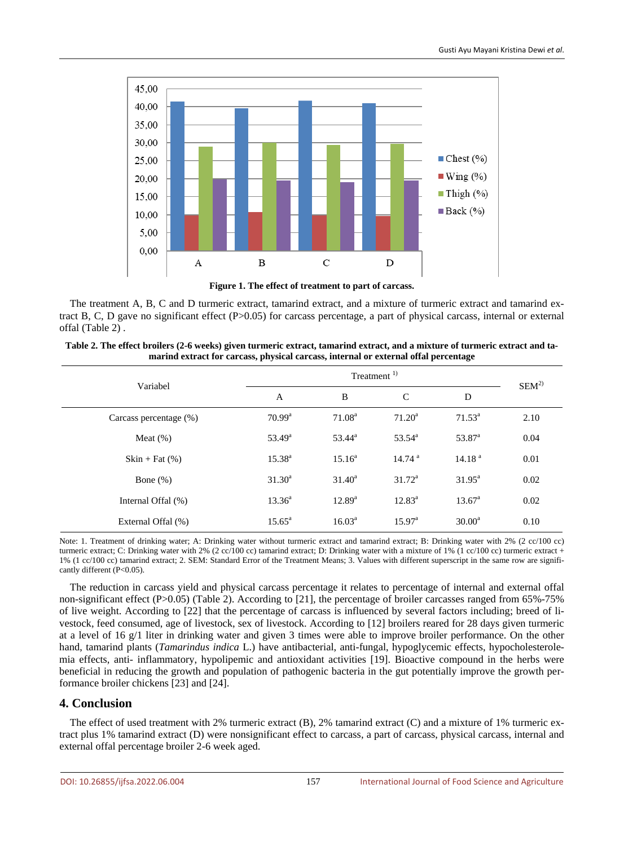

**Figure 1. The effect of treatment to part of carcass.**

The treatment A, B, C and D turmeric extract, tamarind extract, and a mixture of turmeric extract and tamarind extract B, C, D gave no significant effect  $(P>0.05)$  for carcass percentage, a part of physical carcass, internal or external offal (Table 2) .

| Table 2. The effect broilers (2-6 weeks) given turmeric extract, tamarind extract, and a mixture of turmeric extract and ta- |
|------------------------------------------------------------------------------------------------------------------------------|
| marind extract for carcass, physical carcass, internal or external offal percentage                                          |

| Variabel               |                 | $SEM^{2)}$         |                    |                    |      |
|------------------------|-----------------|--------------------|--------------------|--------------------|------|
|                        | A               | B                  | $\mathcal{C}$      | D                  |      |
| Carcass percentage (%) | $70.99^{\rm a}$ | 71.08 <sup>a</sup> | $71.20^a$          | $71.53^{\circ}$    | 2.10 |
| Meat $(\%)$            | $53.49^{\rm a}$ | $53.44^{\circ}$    | $53.54^{\circ}$    | 53.87 <sup>a</sup> | 0.04 |
| $Skin + Fat(%)$        | $15.38^{a}$     | $15.16^a$          | 14.74 <sup>a</sup> | 14.18 <sup>a</sup> | 0.01 |
| Bone $(\%)$            | $31.30^a$       | $31.40^a$          | $31.72^{\rm a}$    | $31.95^{\rm a}$    | 0.02 |
| Internal Offal (%)     | $13.36^a$       | $12.89^{a}$        | $12.83^a$          | $13.67^{\circ}$    | 0.02 |
| External Offal (%)     | $15.65^{\circ}$ | $16.03^{\rm a}$    | 15.97 <sup>a</sup> | $30.00^a$          | 0.10 |

Note: 1. Treatment of drinking water; A: Drinking water without turmeric extract and tamarind extract; B: Drinking water with 2% (2 cc/100 cc) turmeric extract; C: Drinking water with 2% (2 cc/100 cc) tamarind extract; D: Drinking water with a mixture of 1% (1 cc/100 cc) turmeric extract + 1% (1 cc/100 cc) tamarind extract; 2. SEM: Standard Error of the Treatment Means; 3. Values with different superscript in the same row are significantly different (P<0.05).

The reduction in carcass yield and physical carcass percentage it relates to percentage of internal and external offal non-significant effect (P>0.05) (Table 2). According to [21], the percentage of broiler carcasses ranged from 65%-75% of live weight. According to [22] that the percentage of carcass is influenced by several factors including; breed of livestock, feed consumed, age of livestock, sex of livestock. According to [12] broilers reared for 28 days given turmeric at a level of 16 g/1 liter in drinking water and given 3 times were able to improve broiler performance. On the other hand, tamarind plants (*Tamarindus indica* L.) have antibacterial, anti-fungal, hypoglycemic effects, hypocholesterolemia effects, anti- inflammatory, hypolipemic and antioxidant activities [19]. Bioactive compound in the herbs were beneficial in reducing the growth and population of pathogenic bacteria in the gut potentially improve the growth performance broiler chickens [23] and [24].

## **4. Conclusion**

The effect of used treatment with 2% turmeric extract (B), 2% tamarind extract (C) and a mixture of 1% turmeric extract plus 1% tamarind extract (D) were nonsignificant effect to carcass, a part of carcass, physical carcass, internal and external offal percentage broiler 2-6 week aged.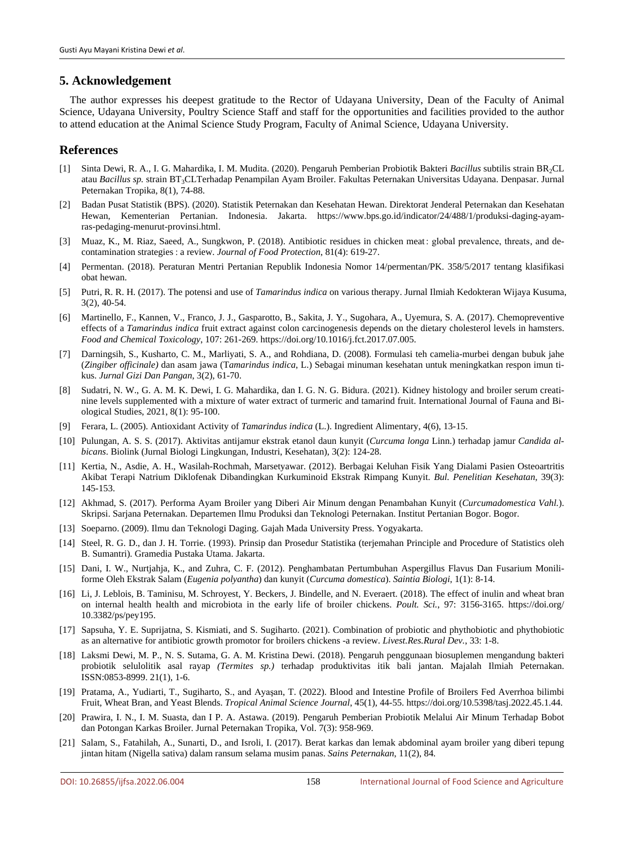## **5. Acknowledgement**

The author expresses his deepest gratitude to the Rector of Udayana University, Dean of the Faculty of Animal Science, Udayana University, Poultry Science Staff and staff for the opportunities and facilities provided to the author to attend education at the Animal Science Study Program, Faculty of Animal Science, Udayana University.

## **References**

- [1] Sinta Dewi, R. A., I. G. Mahardika, I. M. Mudita. (2020). Pengaruh Pemberian Probiotik Bakteri *Bacillus* subtilis strain BR2CL atau *Bacillus sp.* strain BT3CLTerhadap Penampilan Ayam Broiler. Fakultas Peternakan Universitas Udayana. Denpasar. Jurnal Peternakan Tropika, 8(1), 74-88.
- [2] Badan Pusat Statistik (BPS). (2020). Statistik Peternakan dan Kesehatan Hewan. Direktorat Jenderal Peternakan dan Kesehatan Hewan, Kementerian Pertanian. Indonesia. Jakarta. https://www.bps.go.id/indicator/24/488/1/produksi-daging-ayamras-pedaging-menurut-provinsi.html.
- [3] Muaz, K., M. Riaz, Saeed, A., Sungkwon, P. (2018). Antibiotic residues in chicken meat : global prevalence, threats, and decontamination strategies : a review. *Journal of Food Protection*, 81(4): 619-27.
- [4] Permentan. (2018). Peraturan Mentri Pertanian Republik Indonesia Nomor 14/permentan/PK. 358/5/2017 tentang klasifikasi obat hewan.
- [5] Putri, R. R. H. (2017). The potensi and use of *Tamarindus indica* on various therapy. Jurnal Ilmiah Kedokteran Wijaya Kusuma, 3(2), 40-54.
- [6] Martinello, F., Kannen, V., Franco, J. J., Gasparotto, B., Sakita, J. Y., Sugohara, A., Uyemura, S. A. (2017). Chemopreventive effects of a *Tamarindus indica* fruit extract against colon carcinogenesis depends on the dietary cholesterol levels in hamsters. *Food and Chemical Toxicology*, 107: 261-269. https://doi.org/10.1016/j.fct.2017.07.005.
- [7] Darningsih, S., Kusharto, C. M., Marliyati, S. A., and Rohdiana, D. (2008). Formulasi teh camelia-murbei dengan bubuk jahe (*Zingiber officinale)* dan asam jawa (T*amarindus indica*, L.) Sebagai minuman kesehatan untuk meningkatkan respon imun tikus. *Jurnal Gizi Dan Pangan*, 3(2), 61-70.
- [8] Sudatri, N. W., G. A. M. K. Dewi, I. G. Mahardika, dan I. G. N. G. Bidura. (2021). Kidney histology and broiler serum creatinine levels supplemented with a mixture of water extract of turmeric and tamarind fruit. International Journal of Fauna and Biological Studies, 2021, 8(1): 95-100.
- [9] Ferara, L. (2005). Antioxidant Activity of *Tamarindus indica* (L.). Ingredient Alimentary, 4(6), 13-15.
- [10] Pulungan, A. S. S. (2017). Aktivitas antijamur ekstrak etanol daun kunyit (*Curcuma longa* Linn.) terhadap jamur *Candida albicans*. Biolink (Jurnal Biologi Lingkungan, Industri, Kesehatan), 3(2): 124-28.
- [11] Kertia, N., Asdie, A. H., Wasilah-Rochmah, Marsetyawar. (2012). Berbagai Keluhan Fisik Yang Dialami Pasien Osteoartritis Akibat Terapi Natrium Diklofenak Dibandingkan Kurkuminoid Ekstrak Rimpang Kunyit. *Bul. Penelitian Kesehatan*, 39(3): 145-153.
- [12] Akhmad, S. (2017). Performa Ayam Broiler yang Diberi Air Minum dengan Penambahan Kunyit (*Curcumadomestica Vahl.*). Skripsi. Sarjana Peternakan. Departemen Ilmu Produksi dan Teknologi Peternakan. Institut Pertanian Bogor. Bogor.
- [13] Soeparno. (2009). Ilmu dan Teknologi Daging. Gajah Mada University Press. Yogyakarta.
- [14] Steel, R. G. D., dan J. H. Torrie. (1993). Prinsip dan Prosedur Statistika (terjemahan Principle and Procedure of Statistics oleh B. Sumantri). Gramedia Pustaka Utama. Jakarta.
- [15] Dani, I. W., Nurtjahja, K., and Zuhra, C. F. (2012). Penghambatan Pertumbuhan Aspergillus Flavus Dan Fusarium Moniliforme Oleh Ekstrak Salam (*Eugenia polyantha*) dan kunyit (*Curcuma domestica*). *Saintia Biologi*, 1(1): 8-14.
- [16] Li, J. Leblois, B. Taminisu, M. Schroyest, Y. Beckers, J. Bindelle, and N. Everaert. (2018). The effect of inulin and wheat bran on internal health health and microbiota in the early life of broiler chickens. *Poult. Sci.*, 97: 3156-3165. https://doi.org/ 10.3382/ps/pey195.
- [17] Sapsuha, Y. E. Suprijatna, S. Kismiati, and S. Sugiharto. (2021). Combination of probiotic and phythobiotic and phythobiotic as an alternative for antibiotic growth promotor for broilers chickens -a review. *Livest.Res.Rural Dev.*, 33: 1-8.
- [18] Laksmi Dewi, M. P., N. S. Sutama, G. A. M. Kristina Dewi. (2018). Pengaruh penggunaan biosuplemen mengandung bakteri probiotik selulolitik asal rayap *(Termites sp.)* terhadap produktivitas itik bali jantan. Majalah Ilmiah Peternakan. ISSN:0853-8999. 21(1), 1-6.
- [19] Pratama, A., Yudiarti, T., Sugiharto, S., and Ayaşan, T. (2022). Blood and Intestine Profile of Broilers Fed Averrhoa bilimbi Fruit, Wheat Bran, and Yeast Blends. *Tropical Animal Science Journal*, 45(1), 44-55. https://doi.org/10.5398/tasj.2022.45.1.44.
- [20] Prawira, I. N., I. M. Suasta, dan I P. A. Astawa. (2019). Pengaruh Pemberian Probiotik Melalui Air Minum Terhadap Bobot dan Potongan Karkas Broiler. Jurnal Peternakan Tropika, Vol. 7(3): 958-969.
- [21] Salam, S., Fatahilah, A., Sunarti, D., and Isroli, I. (2017). Berat karkas dan lemak abdominal ayam broiler yang diberi tepung jintan hitam (Nigella sativa) dalam ransum selama musim panas. *Sains Peternakan*, 11(2), 84.